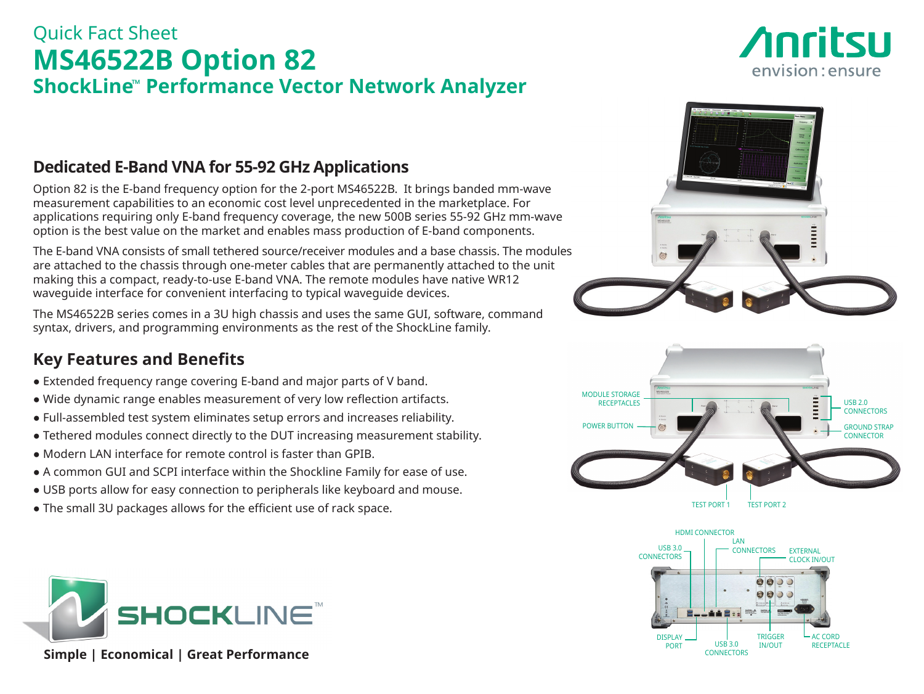## Quick Fact Sheet **MS46522B Option 82 ShockLine**™ **Performance Vector Network Analyzer**

# *Anritsu* envision: ensure

### **Dedicated E-Band VNA for 55-92 GHz Applications**

Option 82 is the E-band frequency option for the 2-port MS46522B. It brings banded mm-wave measurement capabilities to an economic cost level unprecedented in the marketplace. For applications requiring only E-band frequency coverage, the new 500B series 55-92 GHz mm-wave option is the best value on the market and enables mass production of E-band components.

The E-band VNA consists of small tethered source/receiver modules and a base chassis. The modules are attached to the chassis through one-meter cables that are permanently attached to the unit making this a compact, ready-to-use E-band VNA. The remote modules have native WR12 waveguide interface for convenient interfacing to typical waveguide devices.

The MS46522B series comes in a 3U high chassis and uses the same GUI, software, command syntax, drivers, and programming environments as the rest of the ShockLine family.

### **Key Features and Benefits**

- Extended frequency range covering E-band and major parts of V band.
- Wide dynamic range enables measurement of very low reflection artifacts.
- Full-assembled test system eliminates setup errors and increases reliability.
- Tethered modules connect directly to the DUT increasing measurement stability.
- Modern LAN interface for remote control is faster than GPIB.
- A common GUI and SCPI interface within the Shockline Family for ease of use.
- USB ports allow for easy connection to peripherals like keyboard and mouse.
- The small 3U packages allows for the efficient use of rack space.



 **Simple | Economical | Great Performance**